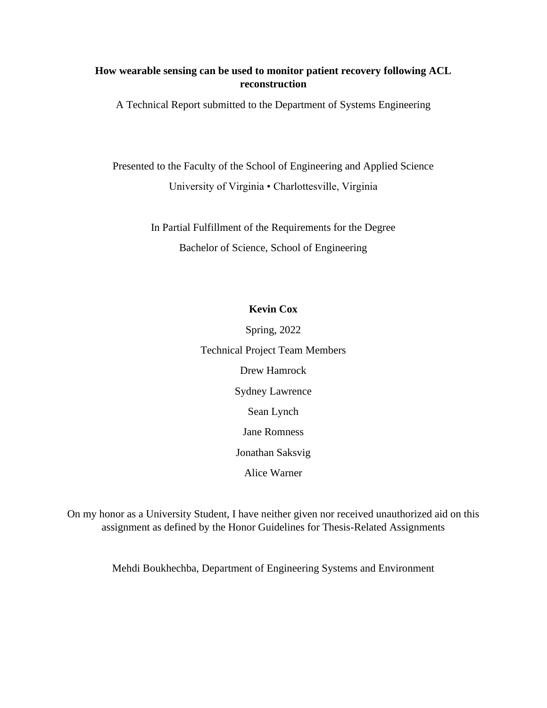# **How wearable sensing can be used to monitor patient recovery following ACL reconstruction**

A Technical Report submitted to the Department of Systems Engineering

Presented to the Faculty of the School of Engineering and Applied Science University of Virginia • Charlottesville, Virginia

> In Partial Fulfillment of the Requirements for the Degree Bachelor of Science, School of Engineering

# **Kevin Cox**

Spring, 2022 Technical Project Team Members Drew Hamrock Sydney Lawrence Sean Lynch Jane Romness Jonathan Saksvig Alice Warner

On my honor as a University Student, I have neither given nor received unauthorized aid on this assignment as defined by the Honor Guidelines for Thesis-Related Assignments

Mehdi Boukhechba, Department of Engineering Systems and Environment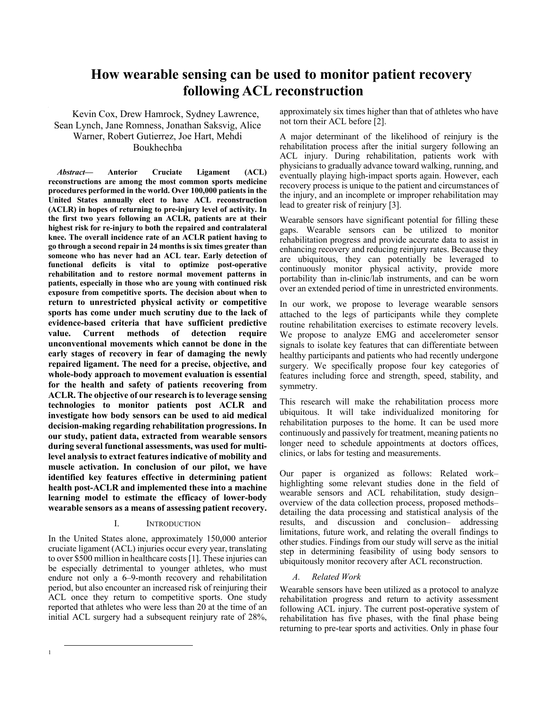# **How wearable sensing can be used to monitor patient recovery following ACL reconstruction**

Kevin Cox, Drew Hamrock, Sydney Lawrence, Sean Lynch, Jane Romness, Jonathan Saksvig, Alice Warner, Robert Gutierrez, Joe Hart, Mehdi Boukhechba

*Abstract***— Anterior Cruciate Ligament (ACL) reconstructions are among the most common sports medicine procedures performed in the world. Over 100,000 patients in the United States annually elect to have ACL reconstruction (ACLR) in hopes of returning to pre-injury level of activity. In the first two years following an ACLR, patients are at their highest risk for re-injury to both the repaired and contralateral knee. The overall incidence rate of an ACLR patient having to go through a second repair in 24 months is six times greater than someone who has never had an ACL tear. Early detection of functional deficits is vital to optimize post-operative rehabilitation and to restore normal movement patterns in patients, especially in those who are young with continued risk exposure from competitive sports. The decision about when to return to unrestricted physical activity or competitive sports has come under much scrutiny due to the lack of evidence-based criteria that have sufficient predictive value. Current methods of detection require unconventional movements which cannot be done in the early stages of recovery in fear of damaging the newly repaired ligament. The need for a precise, objective, and whole-body approach to movement evaluation is essential for the health and safety of patients recovering from ACLR. The objective of our research is to leverage sensing technologies to monitor patients post ACLR and investigate how body sensors can be used to aid medical decision-making regarding rehabilitation progressions. In our study, patient data, extracted from wearable sensors during several functional assessments, was used for multilevel analysis to extract features indicative of mobility and muscle activation. In conclusion of our pilot, we have identified key features effective in determining patient health post-ACLR and implemented these into a machine learning model to estimate the efficacy of lower-body wearable sensors as a means of assessing patient recovery.**

## I. INTRODUCTION

In the United States alone, approximately 150,000 anterior cruciate ligament (ACL) injuries occur every year, translating to over \$500 million in healthcare costs [1]. These injuries can be especially detrimental to younger athletes, who must endure not only a 6–9-month recovery and rehabilitation period, but also encounter an increased risk of reinjuring their ACL once they return to competitive sports. One study reported that athletes who were less than 20 at the time of an initial ACL surgery had a subsequent reinjury rate of 28%, approximately six times higher than that of athletes who have not torn their ACL before [2].

A major determinant of the likelihood of reinjury is the rehabilitation process after the initial surgery following an ACL injury. During rehabilitation, patients work with physicians to gradually advance toward walking, running, and eventually playing high-impact sports again. However, each recovery process is unique to the patient and circumstances of the injury, and an incomplete or improper rehabilitation may lead to greater risk of reinjury [3].

Wearable sensors have significant potential for filling these gaps. Wearable sensors can be utilized to monitor rehabilitation progress and provide accurate data to assist in enhancing recovery and reducing reinjury rates. Because they are ubiquitous, they can potentially be leveraged to continuously monitor physical activity, provide more portability than in-clinic/lab instruments, and can be worn over an extended period of time in unrestricted environments.

In our work, we propose to leverage wearable sensors attached to the legs of participants while they complete routine rehabilitation exercises to estimate recovery levels. We propose to analyze EMG and accelerometer sensor signals to isolate key features that can differentiate between healthy participants and patients who had recently undergone surgery. We specifically propose four key categories of features including force and strength, speed, stability, and symmetry.

This research will make the rehabilitation process more ubiquitous. It will take individualized monitoring for rehabilitation purposes to the home. It can be used more continuously and passively for treatment, meaning patients no longer need to schedule appointments at doctors offices, clinics, or labs for testing and measurements.

Our paper is organized as follows: Related work– highlighting some relevant studies done in the field of wearable sensors and ACL rehabilitation, study design– overview of the data collection process, proposed methods– detailing the data processing and statistical analysis of the results, and discussion and conclusion– addressing limitations, future work, and relating the overall findings to other studies. Findings from our study will serve as the initial step in determining feasibility of using body sensors to ubiquitously monitor recovery after ACL reconstruction.

## *A. Related Work*

Wearable sensors have been utilized as a protocol to analyze rehabilitation progress and return to activity assessment following ACL injury. The current post-operative system of rehabilitation has five phases, with the final phase being returning to pre-tear sports and activities. Only in phase four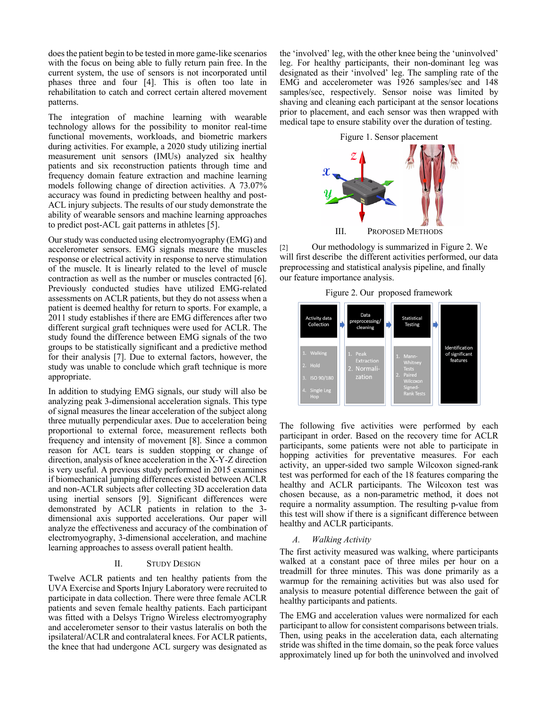does the patient begin to be tested in more game-like scenarios with the focus on being able to fully return pain free. In the current system, the use of sensors is not incorporated until phases three and four [4]. This is often too late in rehabilitation to catch and correct certain altered movement patterns.

The integration of machine learning with wearable technology allows for the possibility to monitor real-time functional movements, workloads, and biometric markers during activities. For example, a 2020 study utilizing inertial measurement unit sensors (IMUs) analyzed six healthy patients and six reconstruction patients through time and frequency domain feature extraction and machine learning models following change of direction activities. A 73.07% accuracy was found in predicting between healthy and post-ACL injury subjects. The results of our study demonstrate the ability of wearable sensors and machine learning approaches to predict post-ACL gait patterns in athletes [5].

Our study was conducted using electromyography (EMG) and accelerometer sensors. EMG signals measure the muscles response or electrical activity in response to nerve stimulation of the muscle. It is linearly related to the level of muscle contraction as well as the number or muscles contracted [6]. Previously conducted studies have utilized EMG-related assessments on ACLR patients, but they do not assess when a patient is deemed healthy for return to sports. For example, a 2011 study establishes if there are EMG differences after two different surgical graft techniques were used for ACLR. The study found the difference between EMG signals of the two groups to be statistically significant and a predictive method for their analysis [7]. Due to external factors, however, the study was unable to conclude which graft technique is more appropriate.

In addition to studying EMG signals, our study will also be analyzing peak 3-dimensional acceleration signals. This type of signal measures the linear acceleration of the subject along three mutually perpendicular axes. Due to acceleration being proportional to external force, measurement reflects both frequency and intensity of movement [8]. Since a common reason for ACL tears is sudden stopping or change of direction, analysis of knee acceleration in the X-Y-Z direction is very useful. A previous study performed in 2015 examines if biomechanical jumping differences existed between ACLR and non-ACLR subjects after collecting 3D acceleration data using inertial sensors [9]. Significant differences were demonstrated by ACLR patients in relation to the 3 dimensional axis supported accelerations. Our paper will analyze the effectiveness and accuracy of the combination of electromyography, 3-dimensional acceleration, and machine learning approaches to assess overall patient health.

#### II. STUDY DESIGN

Twelve ACLR patients and ten healthy patients from the UVA Exercise and Sports Injury Laboratory were recruited to participate in data collection. There were three female ACLR patients and seven female healthy patients. Each participant was fitted with a Delsys Trigno Wireless electromyography and accelerometer sensor to their vastus lateralis on both the ipsilateral/ACLR and contralateral knees. For ACLR patients, the knee that had undergone ACL surgery was designated as the 'involved' leg, with the other knee being the 'uninvolved' leg. For healthy participants, their non-dominant leg was designated as their 'involved' leg. The sampling rate of the EMG and accelerometer was 1926 samples/sec and 148 samples/sec, respectively. Sensor noise was limited by shaving and cleaning each participant at the sensor locations prior to placement, and each sensor was then wrapped with medical tape to ensure stability over the duration of testing.



[2] Our methodology is summarized in Figure 2. We will first describe the different activities performed, our data preprocessing and statistical analysis pipeline, and finally our feature importance analysis.

Figure 2. Our proposed framework



The following five activities were performed by each participant in order. Based on the recovery time for ACLR participants, some patients were not able to participate in hopping activities for preventative measures. For each activity, an upper-sided two sample Wilcoxon signed-rank test was performed for each of the 18 features comparing the healthy and ACLR participants. The Wilcoxon test was chosen because, as a non-parametric method, it does not require a normality assumption. The resulting p-value from this test will show if there is a significant difference between healthy and ACLR participants.

#### *A. Walking Activity*

The first activity measured was walking, where participants walked at a constant pace of three miles per hour on a treadmill for three minutes. This was done primarily as a warmup for the remaining activities but was also used for analysis to measure potential difference between the gait of healthy participants and patients.

The EMG and acceleration values were normalized for each participant to allow for consistent comparisons between trials. Then, using peaks in the acceleration data, each alternating stride was shifted in the time domain, so the peak force values approximately lined up for both the uninvolved and involved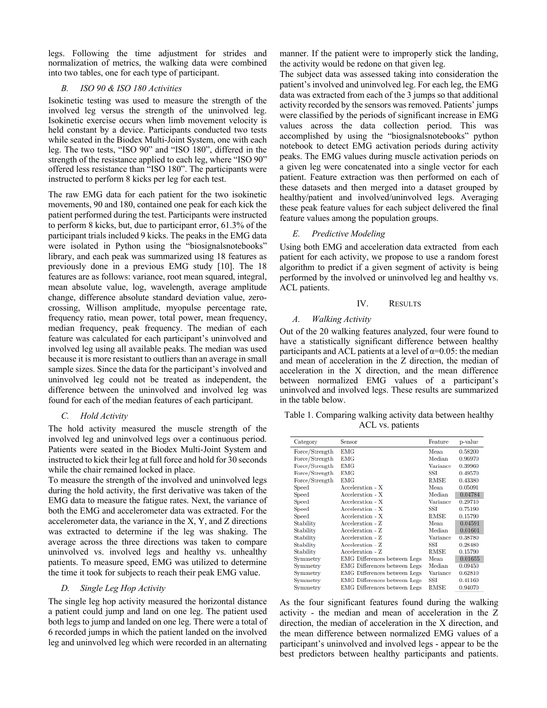legs. Following the time adjustment for strides and normalization of metrics, the walking data were combined into two tables, one for each type of participant.

## *B. ISO 90 & ISO 180 Activities*

Isokinetic testing was used to measure the strength of the involved leg versus the strength of the uninvolved leg. Isokinetic exercise occurs when limb movement velocity is held constant by a device. Participants conducted two tests while seated in the Biodex Multi-Joint System, one with each leg. The two tests, "ISO 90" and "ISO 180", differed in the strength of the resistance applied to each leg, where "ISO 90" offered less resistance than "ISO 180". The participants were instructed to perform 8 kicks per leg for each test.

The raw EMG data for each patient for the two isokinetic movements, 90 and 180, contained one peak for each kick the patient performed during the test. Participants were instructed to perform 8 kicks, but, due to participant error, 61.3% of the participant trials included 9 kicks. The peaks in the EMG data were isolated in Python using the "biosignalsnotebooks" library, and each peak was summarized using 18 features as previously done in a previous EMG study [10]. The 18 features are as follows: variance, root mean squared, integral, mean absolute value, log, wavelength, average amplitude change, difference absolute standard deviation value, zerocrossing, Willison amplitude, myopulse percentage rate, frequency ratio, mean power, total power, mean frequency, median frequency, peak frequency. The median of each feature was calculated for each participant's uninvolved and involved leg using all available peaks. The median was used because it is more resistant to outliers than an average in small sample sizes. Since the data for the participant's involved and uninvolved leg could not be treated as independent, the difference between the uninvolved and involved leg was found for each of the median features of each participant.

## *C. Hold Activity*

The hold activity measured the muscle strength of the involved leg and uninvolved legs over a continuous period. Patients were seated in the Biodex Multi-Joint System and instructed to kick their leg at full force and hold for 30 seconds while the chair remained locked in place.

To measure the strength of the involved and uninvolved legs during the hold activity, the first derivative was taken of the EMG data to measure the fatigue rates. Next, the variance of both the EMG and accelerometer data was extracted. For the accelerometer data, the variance in the X, Y, and Z directions was extracted to determine if the leg was shaking. The average across the three directions was taken to compare uninvolved vs. involved legs and healthy vs. unhealthy patients. To measure speed, EMG was utilized to determine the time it took for subjects to reach their peak EMG value.

## *D. Single Leg Hop Activity*

The single leg hop activity measured the horizontal distance a patient could jump and land on one leg. The patient used both legs to jump and landed on one leg. There were a total of 6 recorded jumps in which the patient landed on the involved leg and uninvolved leg which were recorded in an alternating

manner. If the patient were to improperly stick the landing, the activity would be redone on that given leg.

The subject data was assessed taking into consideration the patient's involved and uninvolved leg. For each leg, the EMG data was extracted from each of the 3 jumps so that additional activity recorded by the sensors was removed. Patients' jumps were classified by the periods of significant increase in EMG values across the data collection period. This was accomplished by using the "biosignalsnotebooks" python notebook to detect EMG activation periods during activity peaks. The EMG values during muscle activation periods on a given leg were concatenated into a single vector for each patient. Feature extraction was then performed on each of these datasets and then merged into a dataset grouped by healthy/patient and involved/uninvolved legs. Averaging these peak feature values for each subject delivered the final feature values among the population groups.

## *E. Predictive Modeling*

Using both EMG and acceleration data extracted from each patient for each activity, we propose to use a random forest algorithm to predict if a given segment of activity is being performed by the involved or uninvolved leg and healthy vs. ACL patients.

## IV. RESULTS

## *A. Walking Activity*

Out of the 20 walking features analyzed, four were found to have a statistically significant difference between healthy participants and ACL patients at a level of  $\alpha$ =0.05: the median and mean of acceleration in the Z direction, the median of acceleration in the X direction, and the mean difference between normalized EMG values of a participant's uninvolved and involved legs. These results are summarized in the table below.

Table 1. Comparing walking activity data between healthy ACL vs. patients

| Category       | <b>Sensor</b>                       | Feature     | p-value |
|----------------|-------------------------------------|-------------|---------|
| Force/Strength | <b>EMG</b>                          | Mean        | 0.58200 |
| Force/Strength | <b>EMG</b>                          | Median      | 0.96970 |
| Force/Strength | <b>EMG</b>                          | Variance    | 0.39960 |
| Force/Strength | <b>EMG</b>                          | SSI         | 0.49570 |
| Force/Strength | <b>EMG</b>                          | <b>RMSE</b> | 0.43380 |
| <b>Speed</b>   | Acceleration - X                    | Mean        | 0.05091 |
| <b>Speed</b>   | Acceleration - X                    | Median      | 0.04784 |
| <b>Speed</b>   | Acceleration - X                    | Variance    | 0.29710 |
| <b>Speed</b>   | Acceleration - X                    | SSI         | 0.75190 |
| <b>Speed</b>   | Acceleration - X                    | <b>RMSE</b> | 0.15790 |
| Stability      | Acceleration - Z                    | Mean        | 0.04591 |
| Stability      | Acceleration - Z                    | Median      | 0.01601 |
| Stability      | Acceleration - Z                    | Variance    | 0.38780 |
| Stability      | Acceleration - Z                    | SSI         | 0.28480 |
| Stability      | Acceleration - Z                    | <b>RMSE</b> | 0.15790 |
| Symmetry       | <b>EMG</b> Differences between Legs | Mean        | 0.01655 |
| Symmetry       | <b>EMG</b> Differences between Legs | Median      | 0.09450 |
| Symmetry       | <b>EMG</b> Differences between Legs | Variance    | 0.62810 |
| Symmetry       | <b>EMG</b> Differences between Legs | SSI         | 0.41160 |
| Symmetry       | <b>EMG</b> Differences between Legs | <b>RMSE</b> | 0.94070 |
|                |                                     |             |         |

As the four significant features found during the walking activity - the median and mean of acceleration in the Z direction, the median of acceleration in the X direction, and the mean difference between normalized EMG values of a participant's uninvolved and involved legs - appear to be the best predictors between healthy participants and patients.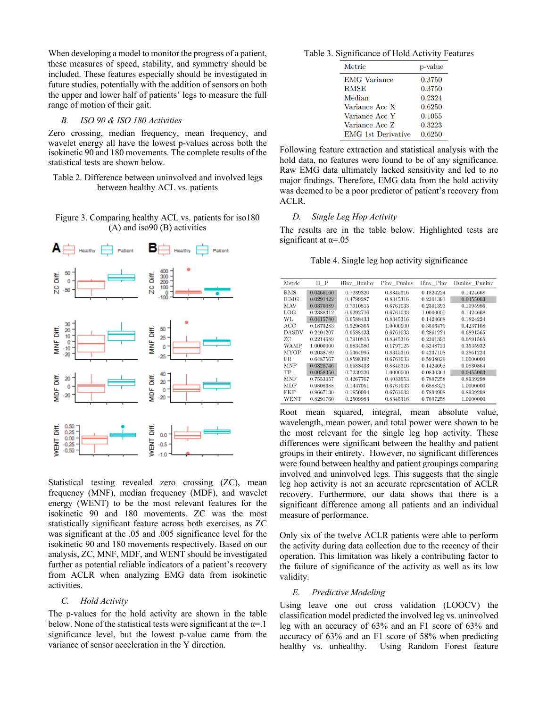When developing a model to monitor the progress of a patient, these measures of speed, stability, and symmetry should be included. These features especially should be investigated in future studies, potentially with the addition of sensors on both the upper and lower half of patients' legs to measure the full range of motion of their gait.

#### *B. ISO 90 & ISO 180 Activities*

Zero crossing, median frequency, mean frequency, and wavelet energy all have the lowest p-values across both the isokinetic 90 and 180 movements. The complete results of the statistical tests are shown below.

Table 2. Difference between uninvolved and involved legs between healthy ACL vs. patients

Figure 3. Comparing healthy ACL vs. patients for iso180 (A) and iso90 (B) activities



Statistical testing revealed zero crossing (ZC), mean frequency (MNF), median frequency (MDF), and wavelet energy (WENT) to be the most relevant features for the isokinetic 90 and 180 movements. ZC was the most statistically significant feature across both exercises, as ZC was significant at the .05 and .005 significance level for the isokinetic 90 and 180 movements respectively. Based on our analysis, ZC, MNF, MDF, and WENT should be investigated further as potential reliable indicators of a patient's recovery from ACLR when analyzing EMG data from isokinetic activities.

### *C. Hold Activity*

The p-values for the hold activity are shown in the table below. None of the statistical tests were significant at the  $\alpha = 1$ significance level, but the lowest p-value came from the variance of sensor acceleration in the Y direction.

Table 3. Significance of Hold Activity Features

| Metric                    | p-value |
|---------------------------|---------|
| <b>EMG</b> Variance       | 0.3750  |
| <b>RMSE</b>               | 0.3750  |
| Median                    | 0.2324  |
| Variance Acc X            | 0.6250  |
| Variance Acc Y            | 0.1055  |
| Variance Acc 7.           | 0.3223  |
| <b>EMG</b> 1st Derivative | 0.6250  |

Following feature extraction and statistical analysis with the hold data, no features were found to be of any significance. Raw EMG data ultimately lacked sensitivity and led to no major findings. Therefore, EMG data from the hold activity was deemed to be a poor predictor of patient's recovery from ACLR.

## *D. Single Leg Hop Activity*

The results are in the table below. Highlighted tests are significant at  $\alpha = 0.05$ 

Table 4. Single leg hop activity significance

| Metric      | H P       | Hinv Huninv | Piny Puniny | Hinv Pinv | Huniny Puniny |
|-------------|-----------|-------------|-------------|-----------|---------------|
| <b>RMS</b>  | 0.0466160 | 0.7239320   | 0.8345316   | 0.1824224 | 0.1424668     |
| <b>IEMG</b> | 0.0291422 | 0.4799287   | 0.8345316   | 0.2301393 | 0.0455003     |
| MAV         | 0.0370089 | 0.7910815   | 0.6761033   | 0.2301393 | 0.1095986     |
| LOG         | 0.2388312 | 0.9292716   | 0.6761033   | 1.0000000 | 0.1424668     |
| WL          | 0.0415780 | 0.6588433   | 0.8345316   | 0.1424668 | 0.1824224     |
| ACC         | 0.1873283 | 0.9296365   | 1.0000000   | 0.3506479 | 0.4237108     |
| DASDV       | 0.2401207 | 0.6588433   | 0.6761033   | 0.2861224 | 0.6891565     |
| ZС          | 0.2214689 | 0.7910815   | 0.8345316   | 0.2301393 | 0.6891565     |
| <b>WAMP</b> | 1.0000000 | 0.6834580   | 0.1797125   | 0.3248721 | 0.3535932     |
| MYOP        | 0.2038789 | 0.5364995   | 0.8345316   | 0.4237108 | 0.2861224     |
| FR.         | 0.6487567 | 0.8598192   | 0.6761033   | 0.5938029 | 1.0000000     |
| MNP         | 0.0328746 | 0.6588433   | 0.8345316   | 0.1424668 | 0.0830364     |
| TP          | 0.0058350 | 0.7239320   | 1.0000000   | 0.0830364 | 0.0455003     |
| <b>MNF</b>  | 0.7553057 | 0.4267767   | 0.4033953   | 0.7897258 | 0.8939298     |
| MDF         | 0.9808688 | 0.1447051   | 0.6761033   | 0.6888323 | 1.0000000     |
| PKF         | 0.8667130 | 0.1850994   | 0.6761033   | 0.7894998 | 0.8939298     |
| WENT        | 0.8291760 | 0.2509983   | 0.8345316   | 0.7897258 | 1.0000000     |

Root mean squared, integral, mean absolute value, wavelength, mean power, and total power were shown to be the most relevant for the single leg hop activity. These differences were significant between the healthy and patient groups in their entirety. However, no significant differences were found between healthy and patient groupings comparing involved and uninvolved legs. This suggests that the single leg hop activity is not an accurate representation of ACLR recovery. Furthermore, our data shows that there is a significant difference among all patients and an individual measure of performance.

Only six of the twelve ACLR patients were able to perform the activity during data collection due to the recency of their operation. This limitation was likely a contributing factor to the failure of significance of the activity as well as its low validity.

#### *E. Predictive Modeling*

Using leave one out cross validation (LOOCV) the classification model predicted the involved leg vs. uninvolved leg with an accuracy of 63% and an F1 score of 63% and accuracy of 63% and an F1 score of 58% when predicting healthy vs. unhealthy. Using Random Forest feature